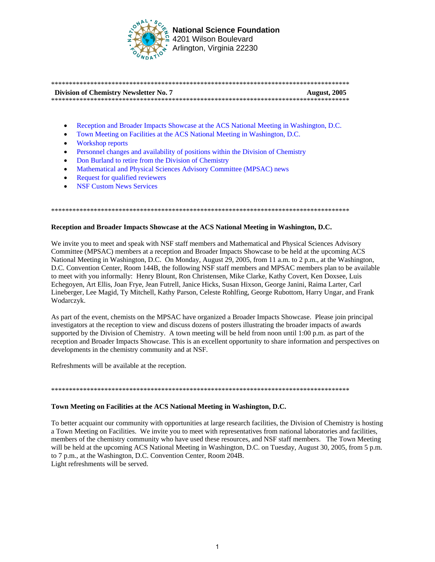

**National Science Foundation** 4201 Wilson Boulevard Arlington, Virginia 22230

| <b>Division of Chemistry Newsletter No. 7</b> | <b>August, 2005</b> |
|-----------------------------------------------|---------------------|
|                                               |                     |

- Reception and Broader Impacts Showcase at the ACS National Meeting in Washington, D.C.
- Town Meeting on Facilities at the ACS National Meeting in Washington, D.C.
- Workshop reports
- [Personnel changes and availability of positions within the Division of Chemistry](#page-1-0)
- Don Burland to retire from the Division of Chemistry
- Mathematical and Physical Sciences Advisory Committee (MPSAC) news
- Request for qualified reviewers
- NSF Custom News Services

#### \*\*\*\*\*\*\*\*\*\*\*\*\*\*\*\*\*\*\*\*\*\*\*\*\*\*\*\*\*\*\*\*\*\*\*\*\*\*\*\*\*\*\*\*\*\*\*\*\*\*\*\*\*\*\*\*\*\*\*\*\*\*\*\*\*\*\*\*\*\*\*\*\*\*\*\*\*\*\*\*\*\*\*\*

# **Reception and Broader Impacts Showcase at the ACS National Meeting in Washington, D.C.**

We invite you to meet and speak with NSF staff members and Mathematical and Physical Sciences Advisory Committee (MPSAC) members at a reception and Broader Impacts Showcase to be held at the upcoming ACS National Meeting in Washington, D.C. On Monday, August 29, 2005, from 11 a.m. to 2 p.m., at the Washington, D.C. Convention Center, Room 144B, the following NSF staff members and MPSAC members plan to be available to meet with you informally: Henry Blount, Ron Christensen, Mike Clarke, Kathy Covert, Ken Doxsee, Luis Echegoyen, Art Ellis, Joan Frye, Jean Futrell, Janice Hicks, Susan Hixson, George Janini, Raima Larter, Carl Lineberger, Lee Magid, Ty Mitchell, Kathy Parson, Celeste Rohlfing, George Rubottom, Harry Ungar, and Frank Wodarczyk.

As part of the event, chemists on the MPSAC have organized a Broader Impacts Showcase. Please join principal investigators at the reception to view and discuss dozens of posters illustrating the broader impacts of awards supported by the Division of Chemistry. A town meeting will be held from noon until 1:00 p.m. as part of the reception and Broader Impacts Showcase. This is an excellent opportunity to share information and perspectives on developments in the chemistry community and at NSF.

Refreshments will be available at the reception.

### \*\*\*\*\*\*\*\*\*\*\*\*\*\*\*\*\*\*\*\*\*\*\*\*\*\*\*\*\*\*\*\*\*\*\*\*\*\*\*\*\*\*\*\*\*\*\*\*\*\*\*\*\*\*\*\*\*\*\*\*\*\*\*\*\*\*\*\*\*\*\*\*\*\*\*\*\*\*\*\*\*\*\*\*

# **Town Meeting on Facilities at the ACS National Meeting in Washington, D.C.**

To better acquaint our community with opportunities at large research facilities, the Division of Chemistry is hosting a Town Meeting on Facilities. We invite you to meet with representatives from national laboratories and facilities, members of the chemistry community who have used these resources, and NSF staff members. The Town Meeting will be held at the upcoming ACS National Meeting in Washington, D.C. on Tuesday, August 30, 2005, from 5 p.m. to 7 p.m., at the Washington, D.C. Convention Center, Room 204B. Light refreshments will be served.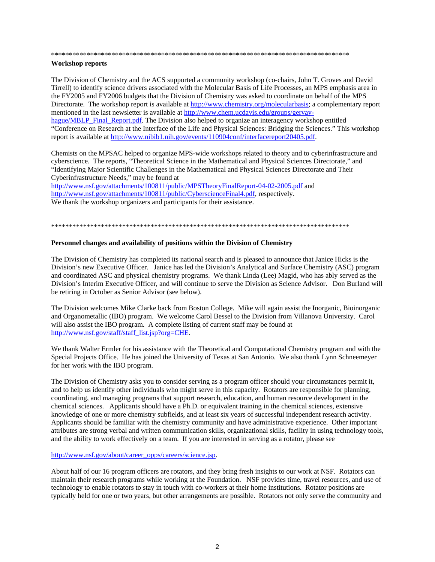#### <span id="page-1-0"></span>

## **Workshop reports**

The Division of Chemistry and the ACS supported a community workshop (co-chairs, John T. Groves and David Tirrell) to identify science drivers associated with the Molecular Basis of Life Processes, an MPS emphasis area in the FY2005 and FY2006 budgets that the Division of Chemistry was asked to coordinate on behalf of the MPS Directorate. The workshop report is available at http://www.chemistry.org/molecularbasis; a complementary report mentioned in the last newsletter is available at http://www.chem.ucdavis.edu/groups/gervayhague/MBLP Final Report.pdf. The Division also helped to organize an interagency workshop entitled "Conference on Research at the Interface of the Life and Physical Sciences: Bridging the Sciences." This workshop report is available at http://www.nibib1.nih.gov/events/110904conf/interfacereport20405.pdf.

Chemists on the MPSAC helped to organize MPS-wide workshops related to theory and to cyberinfrastructure and cyberscience. The reports, "Theoretical Science in the Mathematical and Physical Sciences Directorate," and "Identifying Major Scientific Challenges in the Mathematical and Physical Sciences Directorate and Their Cyberinfrastructure Needs," may be found at

http://www.nsf.gov/attachments/100811/public/MPSTheoryFinalReport-04-02-2005.pdf and http://www.nsf.gov/attachments/100811/public/CyberscienceFinal4.pdf, respectively. We thank the workshop organizers and participants for their assistance.

### Personnel changes and availability of positions within the Division of Chemistry

The Division of Chemistry has completed its national search and is pleased to announce that Janice Hicks is the Division's new Executive Officer. Janice has led the Division's Analytical and Surface Chemistry (ASC) program and coordinated ASC and physical chemistry programs. We thank Linda (Lee) Magid, who has ably served as the Division's Interim Executive Officer, and will continue to serve the Division as Science Advisor. Don Burland will be retiring in October as Senior Advisor (see below).

The Division welcomes Mike Clarke back from Boston College. Mike will again assist the Inorganic, Bioinorganic and Organometallic (IBO) program. We welcome Carol Bessel to the Division from Villanova University. Carol will also assist the IBO program. A complete listing of current staff may be found at http://www.nsf.gov/staff/staff list.jsp?org=CHE.

We thank Walter Ermler for his assistance with the Theoretical and Computational Chemistry program and with the Special Projects Office. He has joined the University of Texas at San Antonio. We also thank Lynn Schneemeyer for her work with the IBO program.

The Division of Chemistry asks you to consider serving as a program officer should your circumstances permit it, and to help us identify other individuals who might serve in this capacity. Rotators are responsible for planning, coordinating, and managing programs that support research, education, and human resource development in the chemical sciences. Applicants should have a Ph.D. or equivalent training in the chemical sciences, extensive knowledge of one or more chemistry subfields, and at least six years of successful independent research activity. Applicants should be familiar with the chemistry community and have administrative experience. Other important attributes are strong verbal and written communication skills, organizational skills, facility in using technology tools, and the ability to work effectively on a team. If you are interested in serving as a rotator, please see

## http://www.nsf.gov/about/career\_opps/careers/science.jsp.

About half of our 16 program officers are rotators, and they bring fresh insights to our work at NSF. Rotators can maintain their research programs while working at the Foundation. NSF provides time, travel resources, and use of technology to enable rotators to stay in touch with co-workers at their home institutions. Rotator positions are typically held for one or two years, but other arrangements are possible. Rotators not only serve the community and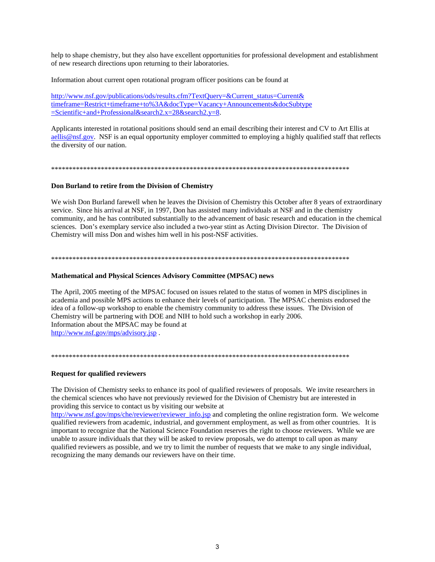<span id="page-2-0"></span>help to shape chemistry, but they also have excellent opportunities for professional development and establishment of new research directions upon returning to their laboratories.

Information about current open rotational program officer positions can be found at

http://www.nsf.gov/publications/ods/results.cfm?TextOuery=&Current status=Current& timeframe=Restrict+timeframe+to%3A&docType=Vacancy+Announcements&docSubtype  $=$ Scientific+and+Professional&search2.x=28&search2.y=8.

Applicants interested in rotational positions should send an email describing their interest and CV to Art Ellis at aellis@nsf.gov. NSF is an equal opportunity employer committed to employing a highly qualified staff that reflects the diversity of our nation.

# Don Burland to retire from the Division of Chemistry

We wish Don Burland farewell when he leaves the Division of Chemistry this October after 8 years of extraordinary service. Since his arrival at NSF, in 1997, Don has assisted many individuals at NSF and in the chemistry community, and he has contributed substantially to the advancement of basic research and education in the chemical sciences. Don's exemplary service also included a two-year stint as Acting Division Director. The Division of Chemistry will miss Don and wishes him well in his post-NSF activities.

# **Mathematical and Physical Sciences Advisory Committee (MPSAC) news**

The April, 2005 meeting of the MPSAC focused on issues related to the status of women in MPS disciplines in academia and possible MPS actions to enhance their levels of participation. The MPSAC chemists endorsed the idea of a follow-up workshop to enable the chemistry community to address these issues. The Division of Chemistry will be partnering with DOE and NIH to hold such a workshop in early 2006. Information about the MPSAC may be found at http://www.nsf.gov/mps/advisory.jsp.

### 

# **Request for qualified reviewers**

The Division of Chemistry seeks to enhance its pool of qualified reviewers of proposals. We invite researchers in the chemical sciences who have not previously reviewed for the Division of Chemistry but are interested in providing this service to contact us by visiting our website at

http://www.nsf.gov/mps/che/reviewer/reviewer\_info.jsp and completing the online registration form. We welcome qualified reviewers from academic, industrial, and government employment, as well as from other countries. It is important to recognize that the National Science Foundation reserves the right to choose reviewers. While we are unable to assure individuals that they will be asked to review proposals, we do attempt to call upon as many qualified reviewers as possible, and we try to limit the number of requests that we make to any single individual, recognizing the many demands our reviewers have on their time.